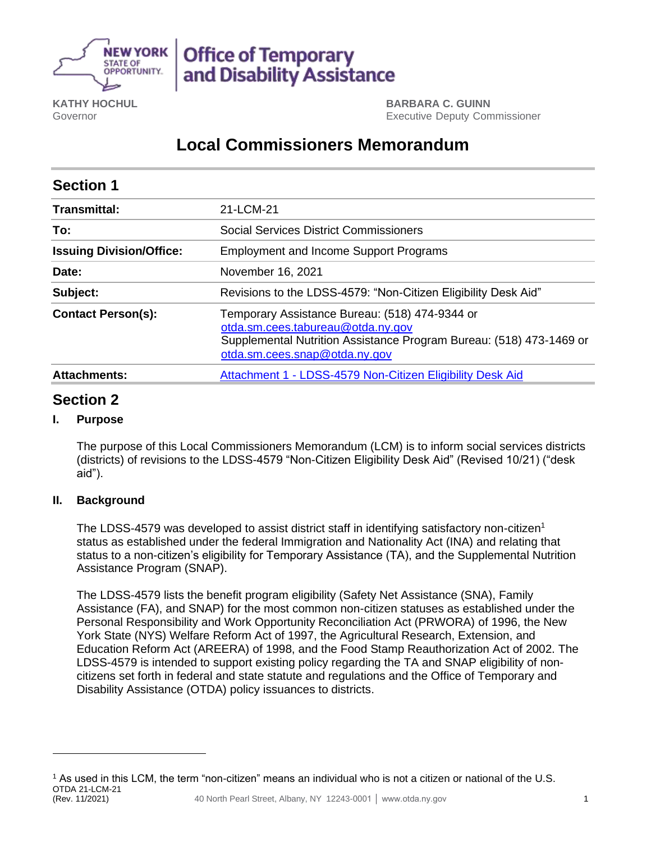

# **Office of Temporary** and Disability Assistance

**KATHY HOCHUL** Governor

**BARBARA C. GUINN** Executive Deputy Commissioner

## **Local Commissioners Memorandum**

| <b>Section 1</b>                |                                                                                                                                                                                             |
|---------------------------------|---------------------------------------------------------------------------------------------------------------------------------------------------------------------------------------------|
| <b>Transmittal:</b>             | 21-LCM-21                                                                                                                                                                                   |
| To:                             | <b>Social Services District Commissioners</b>                                                                                                                                               |
| <b>Issuing Division/Office:</b> | <b>Employment and Income Support Programs</b>                                                                                                                                               |
| Date:                           | November 16, 2021                                                                                                                                                                           |
| Subject:                        | Revisions to the LDSS-4579: "Non-Citizen Eligibility Desk Aid"                                                                                                                              |
| <b>Contact Person(s):</b>       | Temporary Assistance Bureau: (518) 474-9344 or<br>otda.sm.cees.tabureau@otda.ny.gov<br>Supplemental Nutrition Assistance Program Bureau: (518) 473-1469 or<br>otda.sm.cees.snap@otda.ny.gov |
| <b>Attachments:</b>             | Attachment 1 - LDSS-4579 Non-Citizen Eligibility Desk Aid                                                                                                                                   |

### **Section 2**

#### **I. Purpose**

The purpose of this Local Commissioners Memorandum (LCM) is to inform social services districts (districts) of revisions to the LDSS-4579 "Non-Citizen Eligibility Desk Aid" (Revised 10/21) ("desk aid").

#### **II. Background**

The LDSS-4579 was developed to assist district staff in identifying satisfactory non-citizen<sup>1</sup> status as established under the federal Immigration and Nationality Act (INA) and relating that status to a non-citizen's eligibility for Temporary Assistance (TA), and the Supplemental Nutrition Assistance Program (SNAP).

The LDSS-4579 lists the benefit program eligibility (Safety Net Assistance (SNA), Family Assistance (FA), and SNAP) for the most common non-citizen statuses as established under the Personal Responsibility and Work Opportunity Reconciliation Act (PRWORA) of 1996, the New York State (NYS) Welfare Reform Act of 1997, the Agricultural Research, Extension, and Education Reform Act (AREERA) of 1998, and the Food Stamp Reauthorization Act of 2002. The LDSS-4579 is intended to support existing policy regarding the TA and SNAP eligibility of noncitizens set forth in federal and state statute and regulations and the Office of Temporary and Disability Assistance (OTDA) policy issuances to districts.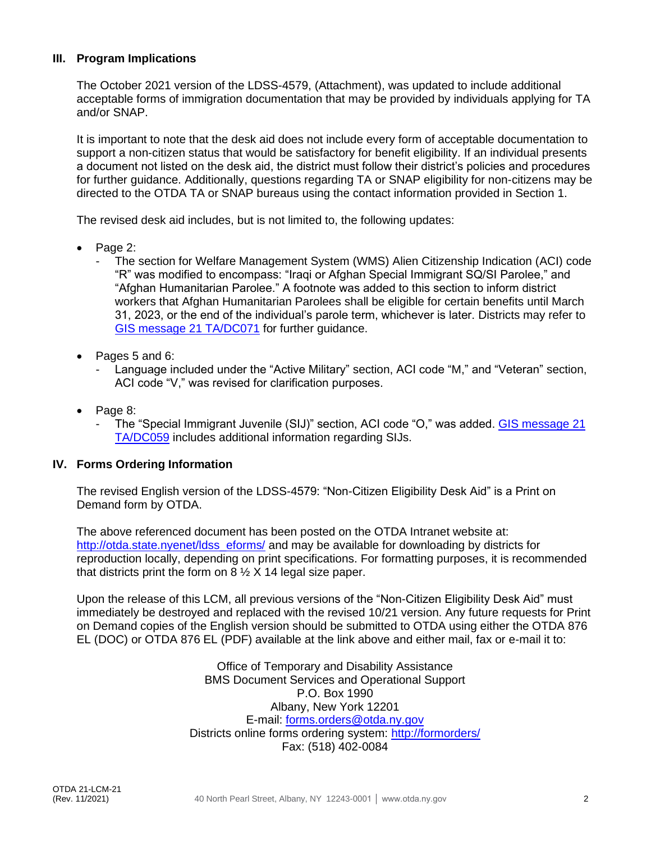#### **III. Program Implications**

The October 2021 version of the LDSS-4579, (Attachment), was updated to include additional acceptable forms of immigration documentation that may be provided by individuals applying for TA and/or SNAP.

It is important to note that the desk aid does not include every form of acceptable documentation to support a non-citizen status that would be satisfactory for benefit eligibility. If an individual presents a document not listed on the desk aid, the district must follow their district's policies and procedures for further guidance. Additionally, questions regarding TA or SNAP eligibility for non-citizens may be directed to the OTDA TA or SNAP bureaus using the contact information provided in Section 1.

The revised desk aid includes, but is not limited to, the following updates:

- Page 2:
	- The section for Welfare Management System (WMS) Alien Citizenship Indication (ACI) code "R" was modified to encompass: "Iraqi or Afghan Special Immigrant SQ/SI Parolee," and "Afghan Humanitarian Parolee." A footnote was added to this section to inform district workers that Afghan Humanitarian Parolees shall be eligible for certain benefits until March 31, 2023, or the end of the individual's parole term, whichever is later. Districts may refer to [GIS message 21 TA/DC071](https://otda.ny.gov/policy/gis/2021/21DC071.pdf) for further guidance.
- Pages 5 and 6:
	- Language included under the "Active Military" section, ACI code "M," and "Veteran" section, ACI code "V," was revised for clarification purposes.
- Page 8:
	- The "Special Immigrant Juvenile (SIJ)" section, ACI code "O," was added. GIS message 21 [TA/DC059](https://otda.ny.gov/policy/gis/2021/21DC059.pdf) includes additional information regarding SIJs.

#### **IV. Forms Ordering Information**

The revised English version of the LDSS-4579: "Non-Citizen Eligibility Desk Aid" is a Print on Demand form by OTDA.

The above referenced document has been posted on the OTDA Intranet website at: [http://otda.state.nyenet/ldss\\_eforms/](http://otda.state.nyenet/ldss_eforms/) and may be available for downloading by districts for reproduction locally, depending on print specifications. For formatting purposes, it is recommended that districts print the form on  $8\frac{1}{2}$  X 14 legal size paper.

Upon the release of this LCM, all previous versions of the "Non-Citizen Eligibility Desk Aid" must immediately be destroyed and replaced with the revised 10/21 version. Any future requests for Print on Demand copies of the English version should be submitted to OTDA using either the OTDA 876 EL (DOC) or OTDA 876 EL (PDF) available at the link above and either mail, fax or e-mail it to:

> Office of Temporary and Disability Assistance BMS Document Services and Operational Support P.O. Box 1990 Albany, New York 12201 E-mail: [forms.orders@otda.ny.gov](mailto:forms.orders@otda.ny.gov) Districts online forms ordering system:<http://formorders/> Fax: (518) 402-0084